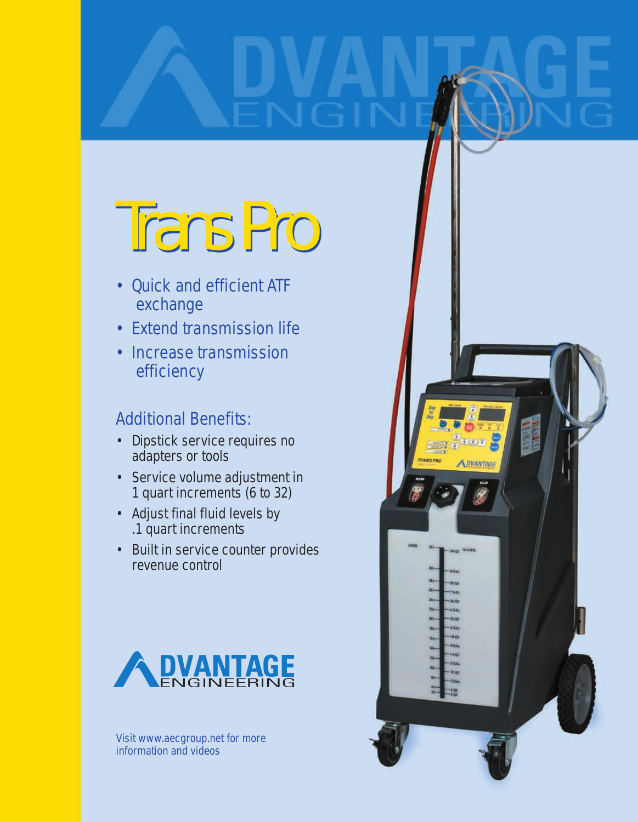# Trans Pro Trans Pro

- Quick and efficient ATF exchange
- Extend transmission life
- Increase transmission efficiency

### Additional Benefits:

- Dipstick service requires no adapters or tools
- Service volume adjustment in 1 quart increments (6 to 32)
- Adjust final fluid levels by .1 quart increments
- Built in service counter provides revenue control



Visit www.aecgroup.net for more information and videos